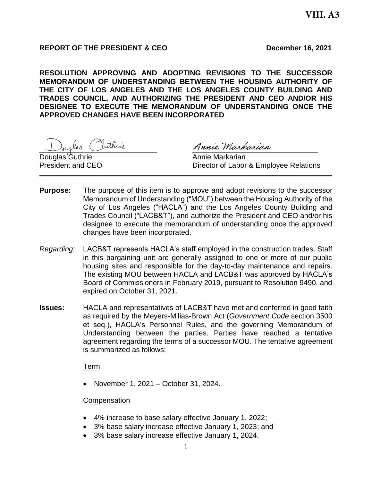## **REPORT OF THE PRESIDENT & CEO December 16, 2021**

**RESOLUTION APPROVING AND ADOPTING REVISIONS TO THE SUCCESSOR MEMORANDUM OF UNDERSTANDING BETWEEN THE HOUSING AUTHORITY OF THE CITY OF LOS ANGELES AND THE LOS ANGELES COUNTY BUILDING AND TRADES COUNCIL, AND AUTHORIZING THE PRESIDENT AND CEO AND/OR HIS DESIGNEE TO EXECUTE THE MEMORANDUM OF UNDERSTANDING ONCE THE APPROVED CHANGES HAVE BEEN INCORPORATED**

Juglas Inthrie Annie Markarian

Douglas Guthrie **Annie Markarian** 

President and CEO **Director of Labor & Employee Relations** 

- **Purpose:** The purpose of this item is to approve and adopt revisions to the successor Memorandum of Understanding ("MOU") between the Housing Authority of the City of Los Angeles ("HACLA") and the Los Angeles County Building and Trades Council ("LACB&T"), and authorize the President and CEO and/or his designee to execute the memorandum of understanding once the approved changes have been incorporated.
- *Regarding:* LACB&T represents HACLA's staff employed in the construction trades. Staff in this bargaining unit are generally assigned to one or more of our public housing sites and responsible for the day-to-day maintenance and repairs. The existing MOU between HACLA and LACB&T was approved by HACLA's Board of Commissioners in February 2019, pursuant to Resolution 9490, and expired on October 31, 2021.
- **Issues:** HACLA and representatives of LACB&T have met and conferred in good faith as required by the Meyers-Milias-Brown Act (*Government Code* section 3500 et seq.), HACLA's Personnel Rules, and the governing Memorandum of Understanding between the parties. Parties have reached a tentative agreement regarding the terms of a successor MOU. The tentative agreement is summarized as follows:

### Term

• November 1, 2021 – October 31, 2024.

### **Compensation**

- 4% increase to base salary effective January 1, 2022;
- 3% base salary increase effective January 1, 2023; and
- 3% base salary increase effective January 1, 2024.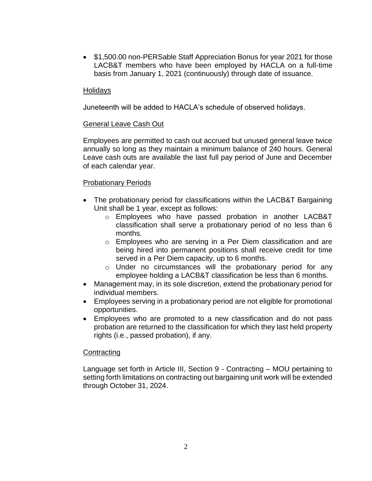• \$1,500.00 non-PERSable Staff Appreciation Bonus for year 2021 for those LACB&T members who have been employed by HACLA on a full-time basis from January 1, 2021 (continuously) through date of issuance.

### Holidays

Juneteenth will be added to HACLA's schedule of observed holidays.

### General Leave Cash Out

Employees are permitted to cash out accrued but unused general leave twice annually so long as they maintain a minimum balance of 240 hours. General Leave cash outs are available the last full pay period of June and December of each calendar year.

### Probationary Periods

- The probationary period for classifications within the LACB&T Bargaining Unit shall be 1 year, except as follows:
	- o Employees who have passed probation in another LACB&T classification shall serve a probationary period of no less than 6 months.
	- $\circ$  Employees who are serving in a Per Diem classification and are being hired into permanent positions shall receive credit for time served in a Per Diem capacity, up to 6 months.
	- o Under no circumstances will the probationary period for any employee holding a LACB&T classification be less than 6 months.
- Management may, in its sole discretion, extend the probationary period for individual members.
- Employees serving in a probationary period are not eligible for promotional opportunities.
- Employees who are promoted to a new classification and do not pass probation are returned to the classification for which they last held property rights (i.e., passed probation), if any.

### **Contracting**

Language set forth in Article III, Section 9 - Contracting – MOU pertaining to setting forth limitations on contracting out bargaining unit work will be extended through October 31, 2024.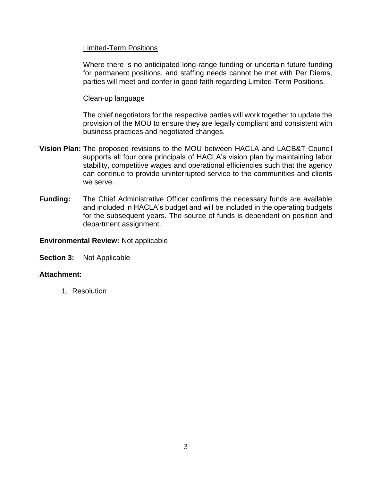### Limited-Term Positions

Where there is no anticipated long-range funding or uncertain future funding for permanent positions, and staffing needs cannot be met with Per Diems, parties will meet and confer in good faith regarding Limited-Term Positions.

### Clean-up language

The chief negotiators for the respective parties will work together to update the provision of the MOU to ensure they are legally compliant and consistent with business practices and negotiated changes.

- **Vision Plan:** The proposed revisions to the MOU between HACLA and LACB&T Council supports all four core principals of HACLA's vision plan by maintaining labor stability, competitive wages and operational efficiencies such that the agency can continue to provide uninterrupted service to the communities and clients we serve.
- **Funding:** The Chief Administrative Officer confirms the necessary funds are available and included in HACLA's budget and will be included in the operating budgets for the subsequent years. The source of funds is dependent on position and department assignment.

### **Environmental Review:** Not applicable

**Section 3:** Not Applicable

## **Attachment:**

1. Resolution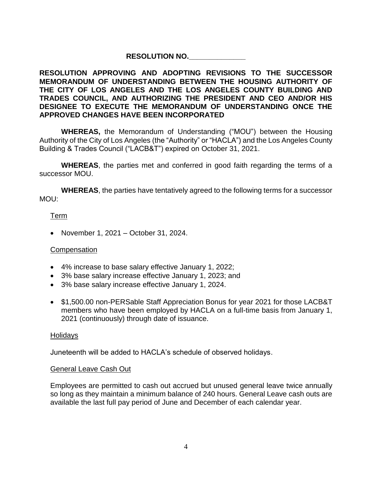# **RESOLUTION NO.\_\_\_\_\_\_\_\_\_\_\_\_\_\_**

## **RESOLUTION APPROVING AND ADOPTING REVISIONS TO THE SUCCESSOR MEMORANDUM OF UNDERSTANDING BETWEEN THE HOUSING AUTHORITY OF THE CITY OF LOS ANGELES AND THE LOS ANGELES COUNTY BUILDING AND TRADES COUNCIL, AND AUTHORIZING THE PRESIDENT AND CEO AND/OR HIS DESIGNEE TO EXECUTE THE MEMORANDUM OF UNDERSTANDING ONCE THE APPROVED CHANGES HAVE BEEN INCORPORATED**

**WHEREAS,** the Memorandum of Understanding ("MOU") between the Housing Authority of the City of Los Angeles (the "Authority" or "HACLA") and the Los Angeles County Building & Trades Council ("LACB&T") expired on October 31, 2021.

**WHEREAS**, the parties met and conferred in good faith regarding the terms of a successor MOU.

**WHEREAS**, the parties have tentatively agreed to the following terms for a successor MOU:

# Term

• November 1, 2021 – October 31, 2024.

# **Compensation**

- 4% increase to base salary effective January 1, 2022;
- 3% base salary increase effective January 1, 2023; and
- 3% base salary increase effective January 1, 2024.
- \$1,500.00 non-PERSable Staff Appreciation Bonus for year 2021 for those LACB&T members who have been employed by HACLA on a full-time basis from January 1, 2021 (continuously) through date of issuance.

## Holidays

Juneteenth will be added to HACLA's schedule of observed holidays.

## General Leave Cash Out

Employees are permitted to cash out accrued but unused general leave twice annually so long as they maintain a minimum balance of 240 hours. General Leave cash outs are available the last full pay period of June and December of each calendar year.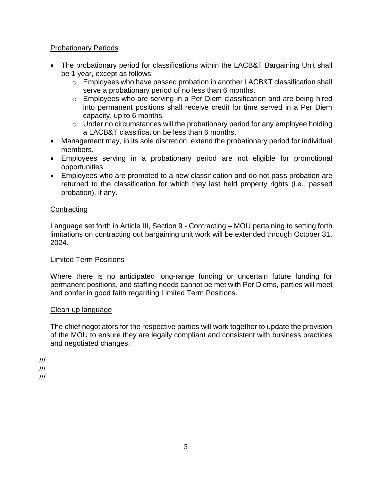## Probationary Periods

- The probationary period for classifications within the LACB&T Bargaining Unit shall be 1 year, except as follows:
	- $\circ$  Employees who have passed probation in another LACB&T classification shall serve a probationary period of no less than 6 months.
	- o Employees who are serving in a Per Diem classification and are being hired into permanent positions shall receive credit for time served in a Per Diem capacity, up to 6 months.
	- $\circ$  Under no circumstances will the probationary period for any employee holding a LACB&T classification be less than 6 months.
- Management may, in its sole discretion, extend the probationary period for individual members.
- Employees serving in a probationary period are not eligible for promotional opportunities.
- Employees who are promoted to a new classification and do not pass probation are returned to the classification for which they last held property rights (i.e., passed probation), if any.

## **Contracting**

Language set forth in Article III, Section 9 - Contracting – MOU pertaining to setting forth limitations on contracting out bargaining unit work will be extended through October 31, 2024.

# Limited Term Positions

Where there is no anticipated long-range funding or uncertain future funding for permanent positions, and staffing needs cannot be met with Per Diems, parties will meet and confer in good faith regarding Limited Term Positions.

# Clean-up language

The chief negotiators for the respective parties will work together to update the provision of the MOU to ensure they are legally compliant and consistent with business practices and negotiated changes.

/// ///

///